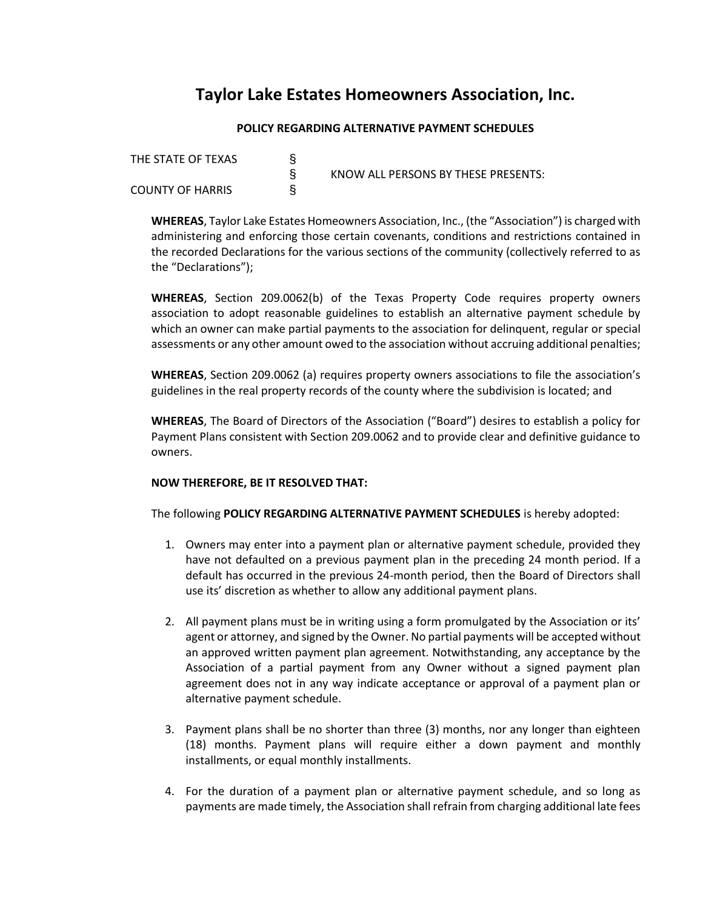## **Taylor Lake Estates Homeowners Association, Inc.**

## **POLICY REGARDING ALTERNATIVE PAYMENT SCHEDULES**

THE STATE OF TEXAS  $\S$ <br>
S<br>
COUNTY OF HARRIS **COUNTY OF HARRIS** 

§ KNOW ALL PERSONS BY THESE PRESENTS:

**WHEREAS**, Taylor Lake Estates Homeowners Association, Inc., (the "Association") is charged with administering and enforcing those certain covenants, conditions and restrictions contained in the recorded Declarations for the various sections of the community (collectively referred to as the "Declarations");

**WHEREAS**, Section 209.0062(b) of the Texas Property Code requires property owners association to adopt reasonable guidelines to establish an alternative payment schedule by which an owner can make partial payments to the association for delinquent, regular or special assessments or any other amount owed to the association without accruing additional penalties;

**WHEREAS**, Section 209.0062 (a) requires property owners associations to file the association's guidelines in the real property records of the county where the subdivision is located; and

**WHEREAS**, The Board of Directors of the Association ("Board") desires to establish a policy for Payment Plans consistent with Section 209.0062 and to provide clear and definitive guidance to owners.

## **NOW THEREFORE, BE IT RESOLVED THAT:**

The following **POLICY REGARDING ALTERNATIVE PAYMENT SCHEDULES** is hereby adopted:

- 1. Owners may enter into a payment plan or alternative payment schedule, provided they have not defaulted on a previous payment plan in the preceding 24 month period. If a default has occurred in the previous 24-month period, then the Board of Directors shall use its' discretion as whether to allow any additional payment plans.
- 2. All payment plans must be in writing using a form promulgated by the Association or its' agent or attorney, and signed by the Owner. No partial payments will be accepted without an approved written payment plan agreement. Notwithstanding, any acceptance by the Association of a partial payment from any Owner without a signed payment plan agreement does not in any way indicate acceptance or approval of a payment plan or alternative payment schedule.
- 3. Payment plans shall be no shorter than three (3) months, nor any longer than eighteen (18) months. Payment plans will require either a down payment and monthly installments, or equal monthly installments.
- 4. For the duration of a payment plan or alternative payment schedule, and so long as payments are made timely, the Association shall refrain from charging additional late fees